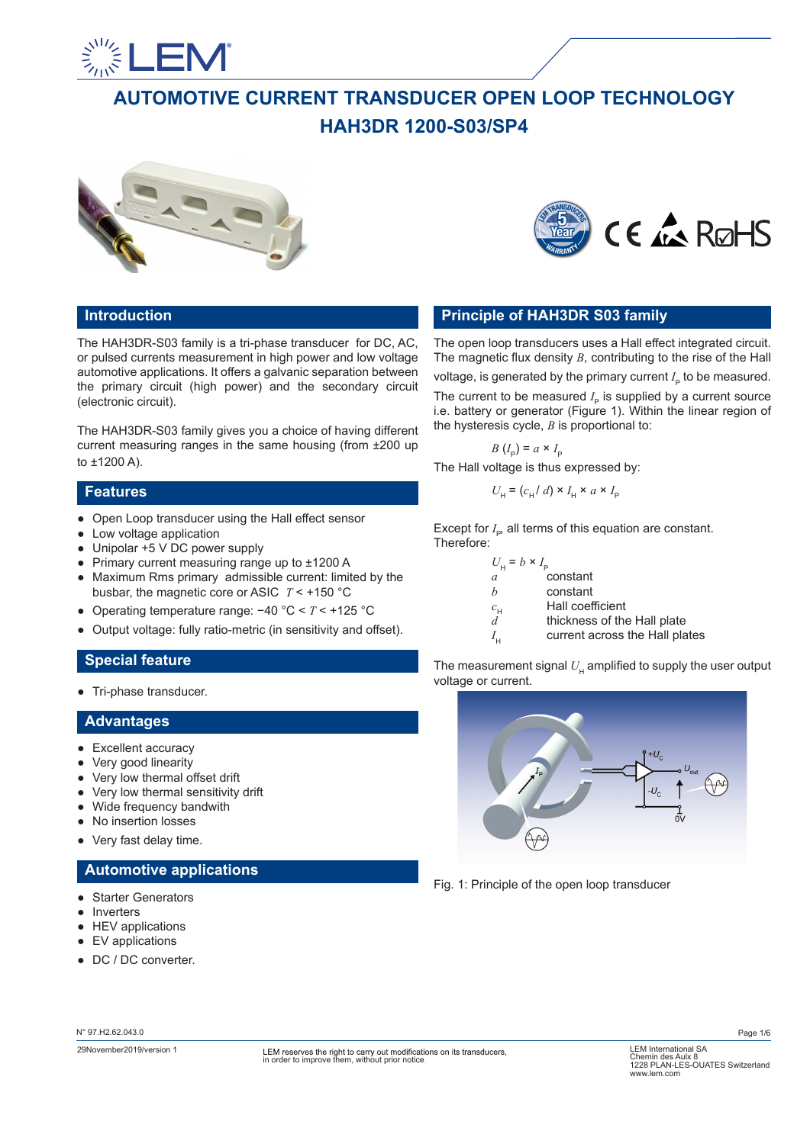

# **AUTOMOTIVE CURRENT TRANSDUCER OPEN LOOP TECHNOLOGY HAH3DR 1200-S03/SP4**





# **Introduction**

The HAH3DR-S03 family is a tri-phase transducer for DC, AC, or pulsed currents measurement in high power and low voltage automotive applications. It offers a galvanic separation between the primary circuit (high power) and the secondary circuit (electronic circuit).

The HAH3DR-S03 family gives you a choice of having different current measuring ranges in the same housing (from ±200 up to ±1200 A).

### **Features**

- Open Loop transducer using the Hall effect sensor
- Low voltage application
- Unipolar +5 V DC power supply
- Primary current measuring range up to ±1200 A
- Maximum Rms primary admissible current: limited by the busbar, the magnetic core or ASIC *T* < +150 °C
- Operating temperature range: −40 °C < *T* < +125 °C
- Output voltage: fully ratio-metric (in sensitivity and offset).

# **Special feature**

● Tri-phase transducer.

## **Advantages**

- Excellent accuracy
- Very good linearity
- Very low thermal offset drift
- Very low thermal sensitivity drift
- Wide frequency bandwith
- No insertion losses
- Very fast delay time.

# **Automotive applications**

- Starter Generators
- Inverters
- HEV applications
- EV applications
- DC / DC converter.

## *b* constant  $c<sub>H</sub>$  Hall coefficient  $d$  thickness of the *d* thickness of the Hall plate  $I_{\rm H}$  current across the Hall plates The measurement signal  $U_{\mu}$  amplified to supply the user output voltage or current.

**Principle of HAH3DR S03 family**

the hysteresis cycle, *B* is proportional to:

 $U_{\rm H}$  = ( $c_{\rm H}/d$ ) ×  $I_{\rm H}$  ×  $a$  ×  $I_{\rm F}$ 

Except for  $I_{\rm p}$ , all terms of this equation are constant.

*a* constant

 $B(I_{\rm p}) = a \times I_{\rm p}$ The Hall voltage is thus expressed by:

 $U_H = b \times I_P$ 

Therefore:

The open loop transducers uses a Hall effect integrated circuit. The magnetic flux density *B*, contributing to the rise of the Hall voltage, is generated by the primary current  $I_{\rho}$  to be measured. The current to be measured  $I_p$  is supplied by a current source i.e. battery or generator (Figure 1). Within the linear region of



Fig. 1: Principle of the open loop transducer

N° 97.H2.62.043.0

Page 1/6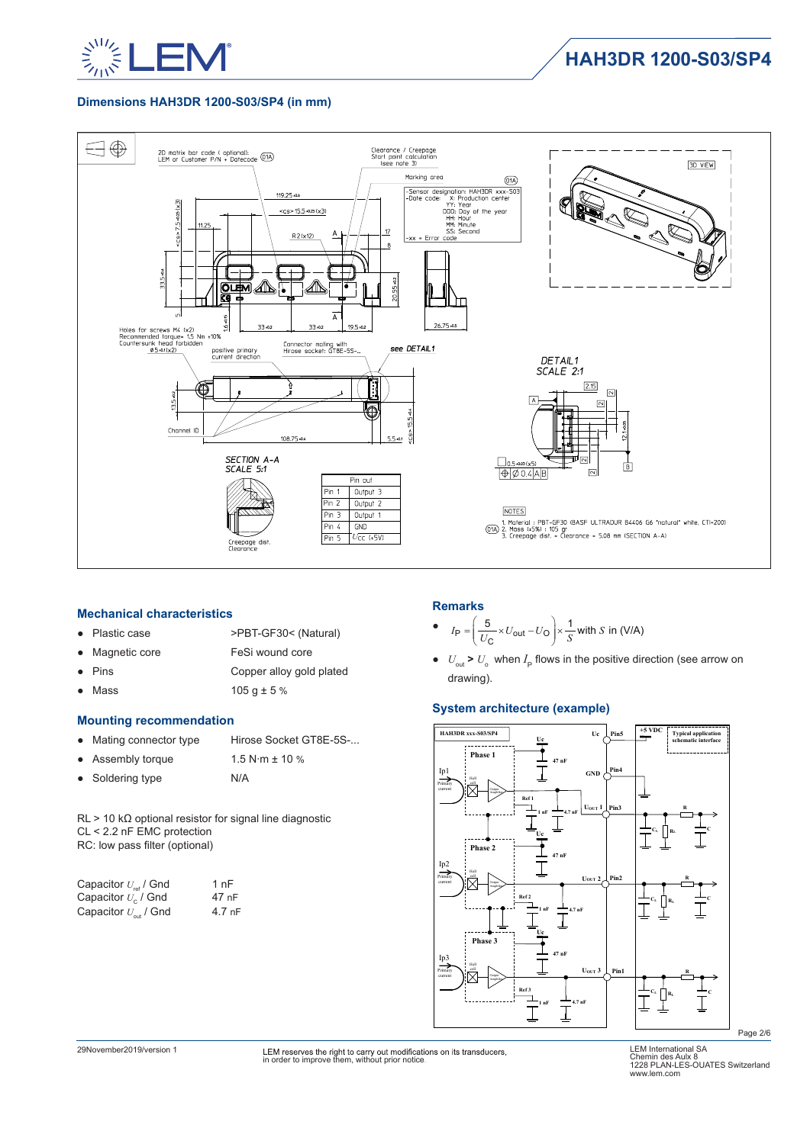

### **Dimensions HAH3DR 1200-S03/SP4 (in mm)**



#### **Mechanical characteristics**

- Plastic case >PBT-GF30< (Natural)
- Magnetic core FeSi wound core
- Pins Copper alloy gold plated
- Mass  $105 g \pm 5 \%$

### **Mounting recommendation**

- Mating connector type Hirose Socket GT8E-5S-...
- Assembly torque 1.5 N∙m ± 10 % ● Soldering type N/A

RL > 10 kΩ optional resistor for signal line diagnostic CL < 2.2 nF EMC protection RC: low pass filter (optional)

| Capacitor $U_{\text{ref}}$ / Gnd | 1 nF   |
|----------------------------------|--------|
| Capacitor $U_{c}$ / Gnd          | 47 nF  |
| Capacitor $U_{\text{out}}$ / Gnd | 4.7 nF |

### **Remarks**

• 
$$
I_P = \left(\frac{5}{U_C} \times U_{\text{out}} - U_O\right) \times \frac{1}{S}
$$
 with *S* in (V/A)

 $\bullet$   $U_{\text{out}}$  >  $U_{\text{o}}$  when  $I_{\text{p}}$  flows in the positive direction (see arrow on drawing).

### **System architecture (example)**



Page 2/6

29November2019/version 1 LEM International SA in order to improve them, without prior notice.

LEM International SA<br>Chemin des Aulx 8<br>1228 PLAN-LES-OUATES Switzerland<br>www.lem.com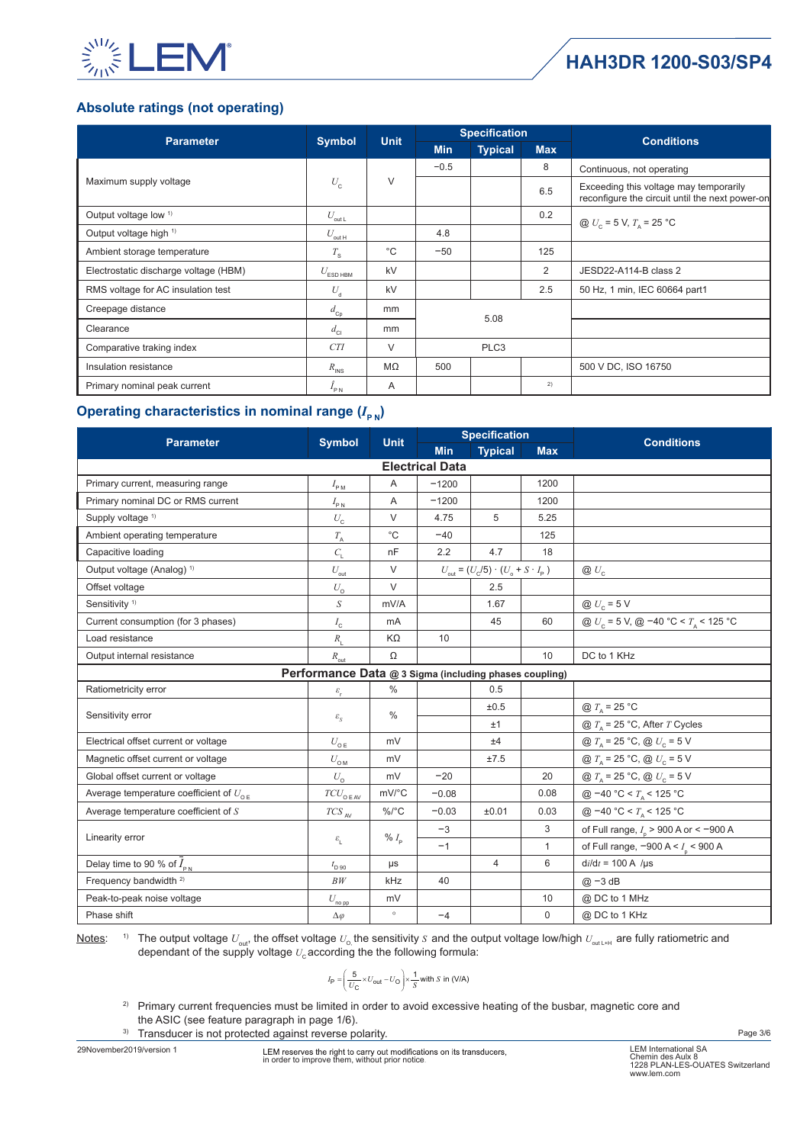

# **HAH3DR 1200-S03/SP4**

# **Absolute ratings (not operating)**

| <b>Parameter</b>                      | <b>Symbol</b>                        | <b>Unit</b>  | <b>Specification</b> |                |            | <b>Conditions</b>                                                                         |
|---------------------------------------|--------------------------------------|--------------|----------------------|----------------|------------|-------------------------------------------------------------------------------------------|
|                                       |                                      |              | <b>Min</b>           | <b>Typical</b> | <b>Max</b> |                                                                                           |
|                                       |                                      |              | $-0.5$               |                | 8          | Continuous, not operating                                                                 |
| Maximum supply voltage                | $U_{\rm c}$                          | $\vee$       |                      |                | 6.5        | Exceeding this voltage may temporarily<br>reconfigure the circuit until the next power-on |
| Output voltage low <sup>1)</sup>      | $U_{\underbar {\it out} \, {\it L}}$ |              | 0.2<br>4.8           |                |            | @ $U_c = 5$ V, $T_A = 25$ °C                                                              |
| Output voltage high <sup>1)</sup>     | $U_{\rm out\,H}$                     |              |                      |                |            |                                                                                           |
| Ambient storage temperature           | $T_{\rm S}$                          | $^{\circ}$ C | $-50$                |                | 125        |                                                                                           |
| Electrostatic discharge voltage (HBM) | $U_{ESD HBM}$                        | kV           |                      |                | 2          | JESD22-A114-B class 2                                                                     |
| RMS voltage for AC insulation test    | $U_{\rm d}$                          | kV           |                      |                | 2.5        | 50 Hz, 1 min, IEC 60664 part1                                                             |
| Creepage distance                     | $d_{\text{Cp}}$                      | mm           | 5.08                 |                |            |                                                                                           |
| Clearance                             | $d_{\rm cl}$                         | mm           |                      |                |            |                                                                                           |
| Comparative traking index             | <b>CTI</b>                           | $\vee$       | PLC <sub>3</sub>     |                |            |                                                                                           |
| Insulation resistance                 | $R_{\text{INS}}$                     | $M\Omega$    | 500                  |                |            | 500 V DC, ISO 16750                                                                       |
| Primary nominal peak current          | $I_{PN}$                             | A            |                      |                | 2)         |                                                                                           |

# **Operating characteristics in nominal range**  $(I_{\text{P-N}})$

| <b>Parameter</b>                                | <b>Symbol</b>                                          | <b>Unit</b>   | <b>Specification</b> |                                                                                 |              | <b>Conditions</b>                                                       |  |  |
|-------------------------------------------------|--------------------------------------------------------|---------------|----------------------|---------------------------------------------------------------------------------|--------------|-------------------------------------------------------------------------|--|--|
|                                                 |                                                        |               | <b>Min</b>           | <b>Typical</b>                                                                  | <b>Max</b>   |                                                                         |  |  |
|                                                 | <b>Electrical Data</b>                                 |               |                      |                                                                                 |              |                                                                         |  |  |
| Primary current, measuring range                | $I_{\rm PM}$                                           | A             | $-1200$              |                                                                                 | 1200         |                                                                         |  |  |
| Primary nominal DC or RMS current               | $I_{\rm PN}$                                           | Α             | $-1200$              |                                                                                 | 1200         |                                                                         |  |  |
| Supply voltage <sup>1)</sup>                    | $U_{\rm c}$                                            | $\vee$        | 4.75                 | 5                                                                               | 5.25         |                                                                         |  |  |
| Ambient operating temperature                   | $T_{\rm _A}$                                           | $^{\circ}$ C  | $-40$                |                                                                                 | 125          |                                                                         |  |  |
| Capacitive loading                              | $C_{1}$                                                | nF            | 2.2                  | 4.7                                                                             | 18           |                                                                         |  |  |
| Output voltage (Analog) <sup>1)</sup>           | $U_{\text{out}}$                                       | V             |                      | $U_{\text{out}} = (U_{\text{c}}/5) \cdot (U_{\text{o}} + S \cdot I_{\text{p}})$ |              | $\otimes U_{c}$                                                         |  |  |
| Offset voltage                                  | $U_{\rm o}$                                            | $\vee$        |                      | 2.5                                                                             |              |                                                                         |  |  |
| Sensitivity <sup>1)</sup>                       | S                                                      | mV/A          |                      | 1.67                                                                            |              | @ $U_c = 5$ V                                                           |  |  |
| Current consumption (for 3 phases)              | $I_{\rm c}$                                            | mA            |                      | 45                                                                              | 60           | @ $U_c$ = 5 V, @ -40 °C < $T_A$ < 125 °C                                |  |  |
| Load resistance                                 | $R_{\rm I}$                                            | KΩ            | 10                   |                                                                                 |              |                                                                         |  |  |
| Output internal resistance                      | $R_{\text{out}}$                                       | Ω             |                      |                                                                                 | 10           | DC to 1 KHz                                                             |  |  |
|                                                 | Performance Data @ 3 Sigma (including phases coupling) |               |                      |                                                                                 |              |                                                                         |  |  |
| Ratiometricity error                            | $\mathcal{E}_{\rm r}$                                  | $\%$          |                      | 0.5                                                                             |              |                                                                         |  |  |
|                                                 |                                                        | $\%$          |                      | ±0.5                                                                            |              | @ $T_{\text{A}}$ = 25 °C                                                |  |  |
| Sensitivity error                               | $\varepsilon_{_S}$                                     |               |                      | ±1                                                                              |              | @ $T_A$ = 25 °C, After T Cycles                                         |  |  |
| Electrical offset current or voltage            | $U_{\rm 0\,E}$                                         | mV            |                      | ±4                                                                              |              | @ $T_{\text{A}} = 25 \text{ °C}, \text{ @ } U_{\text{C}} = 5 \text{ V}$ |  |  |
| Magnetic offset current or voltage              | $U_{\rm OM}$                                           | mV            |                      | ±7.5                                                                            |              | @ $T_{\text{A}}$ = 25 °C, @ $U_{\text{c}}$ = 5 V                        |  |  |
| Global offset current or voltage                | $U_{\alpha}$                                           | mV            | $-20$                |                                                                                 | 20           | @ $T_{\text{A}}$ = 25 °C, @ $U_{\text{c}}$ = 5 V                        |  |  |
| Average temperature coefficient of $U_{\alpha}$ | $TCU_{\texttt{O E AV}}$                                | mV/°C         | $-0.08$              |                                                                                 | 0.08         | @ −40 °C < $T_A$ < 125 °C                                               |  |  |
| Average temperature coefficient of $S$          | $TCS$ $_{\sf AV}$                                      | $\%$ /°C      | $-0.03$              | ±0.01                                                                           | 0.03         | @ -40 °C < $T_a$ < 125 °C                                               |  |  |
|                                                 |                                                        |               | $-3$                 |                                                                                 | 3            | of Full range, $I_p > 900$ A or < -900 A                                |  |  |
| Linearity error                                 | $\varepsilon_{_{\rm L}}$                               | % $I_{\rm p}$ | $-1$                 |                                                                                 | $\mathbf{1}$ | of Full range, $-900 \text{ A} < I_{\text{p}} < 900 \text{ A}$          |  |  |
| Delay time to 90 % of $I_{\text{pN}}$           | $t_{\text{D 90}}$                                      | μs            |                      | $\overline{4}$                                                                  | 6            | $di/dt = 100$ A /µs                                                     |  |  |
| Frequency bandwidth <sup>2)</sup>               | BW                                                     | kHz           | 40                   |                                                                                 |              | $@ - 3 dB$                                                              |  |  |
| Peak-to-peak noise voltage                      | $U_{\underline{{\rm no\, pp}}}$                        | mV            |                      |                                                                                 | 10           | @ DC to 1 MHz                                                           |  |  |
| Phase shift                                     | $\Delta\varphi$                                        | $\circ$       | $-4$                 |                                                                                 | $\mathbf 0$  | @ DC to 1 KHz                                                           |  |  |

Notes: <sup>1)</sup> The output voltage  $U_{\text{out}}$ , the offset voltage  $U_{\text{o}}$ , the sensitivity *S* and the output voltage low/high  $U_{\text{outL+H}}$  are fully ratiometric and dependant of the supply voltage  $U_c$  according the the following formula:

$$
I_{\rm P} = \left(\frac{5}{U_{\rm C}} \times U_{\rm out} - U_{\rm O}\right) \times \frac{1}{S} \text{ with } S \text{ in (V/A)}
$$

<sup>2)</sup> Primary current frequencies must be limited in order to avoid excessive heating of the busbar, magnetic core and the ASIC (see feature paragraph in page 1/6).

3) Transducer is not protected against reverse polarity.

29November2019/version 1 LEM International SA in order to improve them, without prior notice.

Page 3/6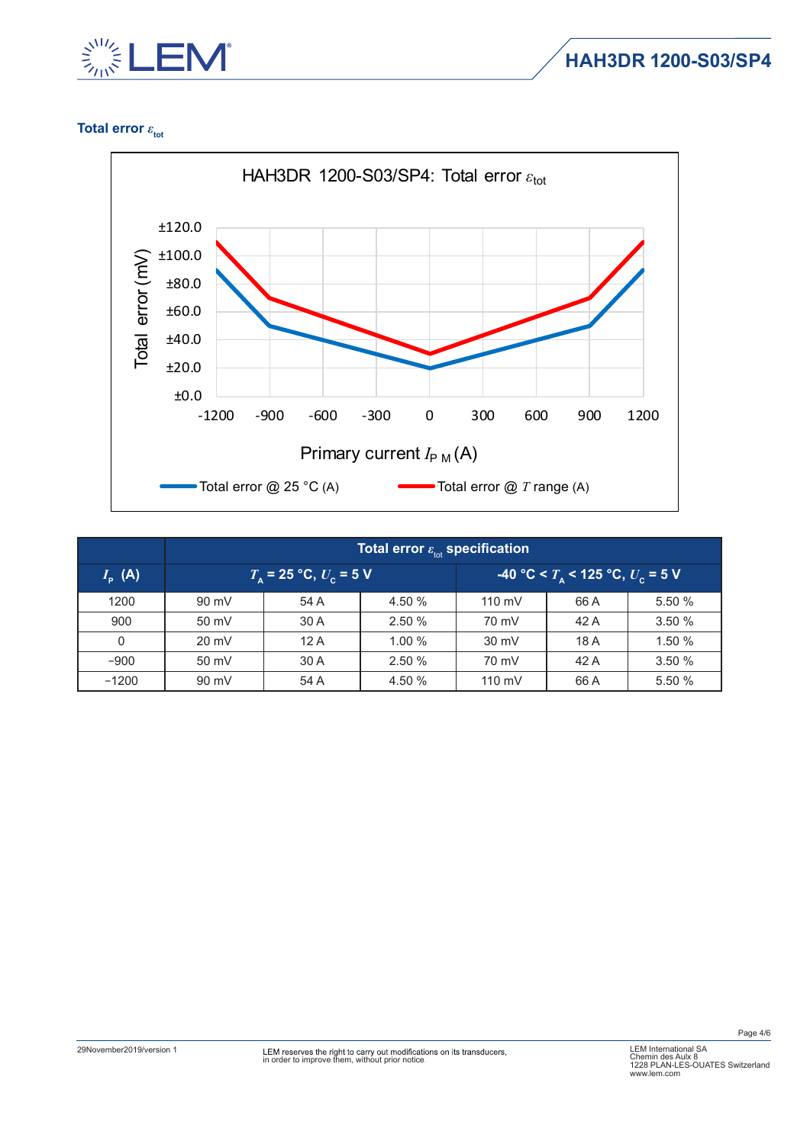

**HAH3DR 1200-S03/SP4**

# **Total error**  $ε$ <sub>tot</sub>



|                      | Total error $\varepsilon_{\scriptscriptstyle\rm tot}$ specification |                                        |        |                  |                                      |        |  |
|----------------------|---------------------------------------------------------------------|----------------------------------------|--------|------------------|--------------------------------------|--------|--|
| $I_{\rm p}({\sf A})$ |                                                                     | $T_{\rm A}$ = 25 °C, $U_{\rm c}$ = 5 V |        |                  | -40 °C < $T_a$ < 125 °C, $U_c$ = 5 V |        |  |
| 1200                 | 90 mV                                                               | 54 A                                   | 4.50 % | $110 \text{ mV}$ | 66 A                                 | 5.50 % |  |
| 900                  | 50 mV                                                               | 30 A                                   | 2.50 % | 70 mV            | 42 A                                 | 3.50 % |  |
| $\Omega$             | $20 \text{ mV}$                                                     | 12A                                    | 1.00%  | $30 \text{ mV}$  | 18 A                                 | 1.50 % |  |
| $-900$               | 50 mV                                                               | 30 A                                   | 2.50 % | 70 mV            | 42 A                                 | 3.50%  |  |
| $-1200$              | 90 mV                                                               | 54 A                                   | 4.50 % | $110 \text{ mV}$ | 66 A                                 | 5.50 % |  |

Page 4/6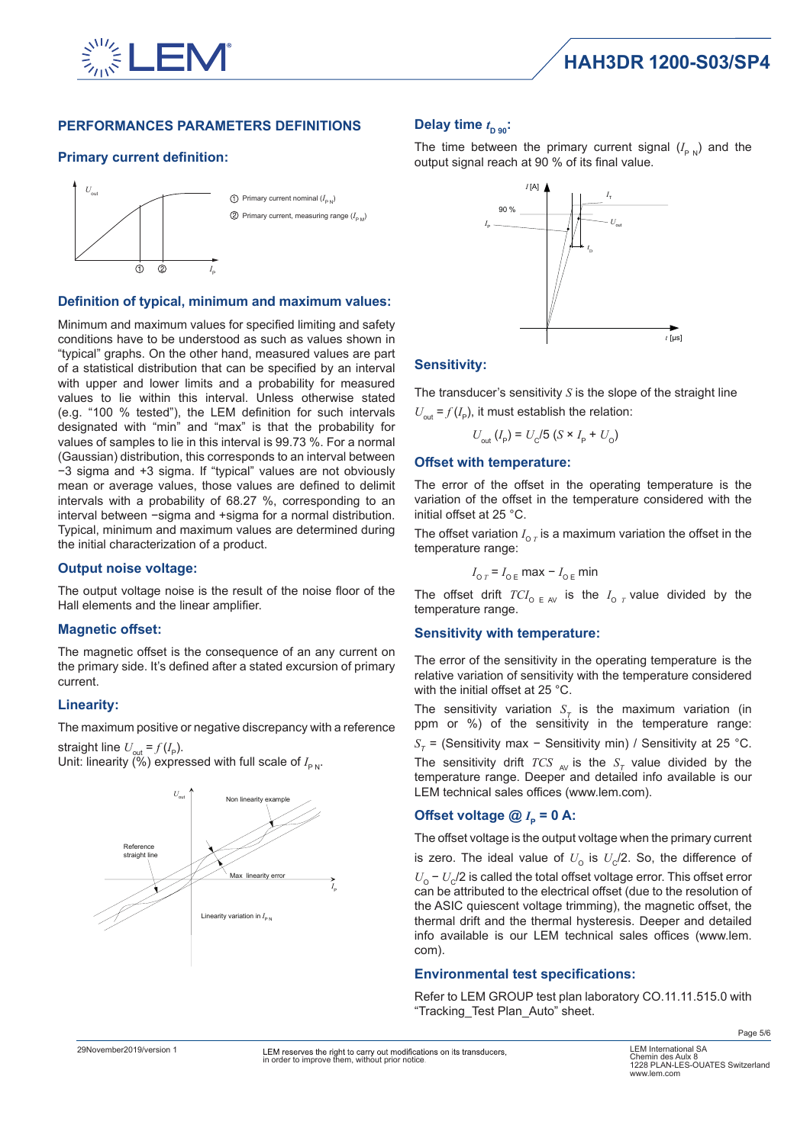![](_page_4_Picture_0.jpeg)

### **PERFORMANCES PARAMETERS DEFINITIONS**

### **Primary current definition:**

![](_page_4_Figure_4.jpeg)

### **Definition of typical, minimum and maximum values:**

Minimum and maximum values for specified limiting and safety conditions have to be understood as such as values shown in "typical" graphs. On the other hand, measured values are part of a statistical distribution that can be specified by an interval with upper and lower limits and a probability for measured values to lie within this interval. Unless otherwise stated (e.g. "100 % tested"), the LEM definition for such intervals designated with "min" and "max" is that the probability for values of samples to lie in this interval is 99.73 %. For a normal (Gaussian) distribution, this corresponds to an interval between −3 sigma and +3 sigma. If "typical" values are not obviously mean or average values, those values are defined to delimit intervals with a probability of 68.27 %, corresponding to an interval between −sigma and +sigma for a normal distribution. Typical, minimum and maximum values are determined during the initial characterization of a product.

### **Output noise voltage:**

The output voltage noise is the result of the noise floor of the Hall elements and the linear amplifier.

### **Magnetic offset:**

The magnetic offset is the consequence of an any current on the primary side. It's defined after a stated excursion of primary current.

### **Linearity:**

The maximum positive or negative discrepancy with a reference

straight line  $U_{\text{out}}$  =  $f(I_{\text{P}})$ . Unit: linearity (%) expressed with full scale of  $I_{\sf PN}$ .

![](_page_4_Figure_14.jpeg)

# Delay time  $t_{\text{D 90}}$ :

The time between the primary current signal  $(I_{p,N})$  and the output signal reach at 90 % of its final value.

![](_page_4_Figure_17.jpeg)

### **Sensitivity:**

The transducer's sensitivity *S* is the slope of the straight line

 $U_{\text{out}} = f(I_{\text{p}})$ , it must establish the relation:

$$
U_{\text{out}}(I_{\text{P}}) = U_{\text{C}}/5 (S \times I_{\text{P}} + U_{\text{O}})
$$

#### **Offset with temperature:**

The error of the offset in the operating temperature is the variation of the offset in the temperature considered with the initial offset at 25 °C.

The offset variation  $I_{\text{o }r}$  is a maximum variation the offset in the temperature range:

$$
I_{\text{O }T} = I_{\text{O }E} \text{ max } - I_{\text{O }E} \text{ min}
$$

The offset drift  $TCI_{O E A}$  is the  $I_{O T}$  value divided by the temperature range.

### **Sensitivity with temperature:**

The error of the sensitivity in the operating temperature is the relative variation of sensitivity with the temperature considered with the initial offset at 25 °C.

The sensitivity variation  $S<sub>T</sub>$  is the maximum variation (in ppm or %) of the sensitivity in the temperature range:  $S_{\tau}$  = (Sensitivity max – Sensitivity min) / Sensitivity at 25 °C. The sensitivity drift *TCS*  $_{AV}$  is the  $S_T$  value divided by the temperature range. Deeper and detailed info available is our LEM technical sales offices (www.lem.com).

## **Offset voltage**  $@ I_p = 0 A$ **:**

The offset voltage is the output voltage when the primary current is zero. The ideal value of  $U_0$  is  $U_c/2$ . So, the difference of *U*<sub>O</sub> − *U*<sub>C</sub>/2 is called the total offset voltage error. This offset error can be attributed to the electrical offset (due to the resolution of the ASIC quiescent voltage trimming), the magnetic offset, the thermal drift and the thermal hysteresis. Deeper and detailed info available is our LEM technical sales offices (www.lem. com).

### **Environmental test specifications:**

Refer to LEM GROUP test plan laboratory CO.11.11.515.0 with "Tracking\_Test Plan\_Auto" sheet.

Page 5/6